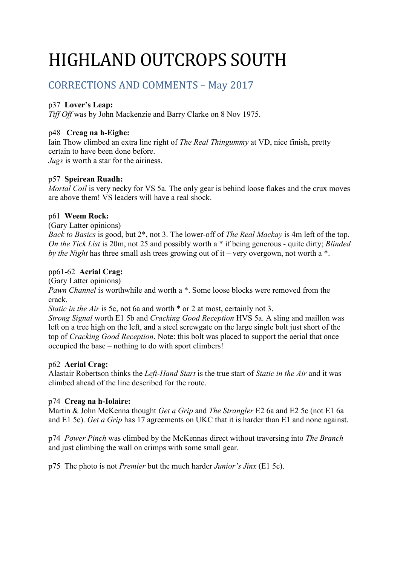# HIGHLAND OUTCROPS SOUTH

# CORRECTIONS AND COMMENTS – May 2017

# p37 **Lover's Leap:**

*Tiff Off* was by John Mackenzie and Barry Clarke on 8 Nov 1975.

# p48 **Creag na h-Eighe:**

Iain Thow climbed an extra line right of *The Real Thingummy* at VD, nice finish, pretty certain to have been done before.

*Jugs* is worth a star for the airiness.

# p57 **Speirean Ruadh:**

*Mortal Coil* is very necky for VS 5a. The only gear is behind loose flakes and the crux moves are above them! VS leaders will have a real shock.

# p61 **Weem Rock:**

(Gary Latter opinions)

*Back to Basics* is good, but 2\*, not 3. The lower-off of *The Real Mackay* is 4m left of the top. *On the Tick List* is 20m, not 25 and possibly worth a \* if being generous - quite dirty; *Blinded by the Night* has three small ash trees growing out of it – very overgown, not worth a \*.

# pp61-62 **Aerial Crag:**

(Gary Latter opinions)

*Pawn Channel* is worthwhile and worth a  $*$ . Some loose blocks were removed from the crack.

*Static in the Air* is 5c, not 6a and worth  $*$  or 2 at most, certainly not 3.

*Strong Signal* worth E1 5b and *Cracking Good Reception* HVS 5a. A sling and maillon was left on a tree high on the left, and a steel screwgate on the large single bolt just short of the top of *Cracking Good Reception*. Note: this bolt was placed to support the aerial that once occupied the base – nothing to do with sport climbers!

# p62 **Aerial Crag:**

Alastair Robertson thinks the *Left-Hand Start* is the true start of *Static in the Air* and it was climbed ahead of the line described for the route.

# p74 **Creag na h-Iolaire:**

Martin & John McKenna thought *Get a Grip* and *The Strangler* E2 6a and E2 5c (not E1 6a and E1 5c). *Get a Grip* has 17 agreements on UKC that it is harder than E1 and none against.

p74 *Power Pinch* was climbed by the McKennas direct without traversing into *The Branch* and just climbing the wall on crimps with some small gear.

p75 The photo is not *Premier* but the much harder *Junior's Jinx* (E1 5c).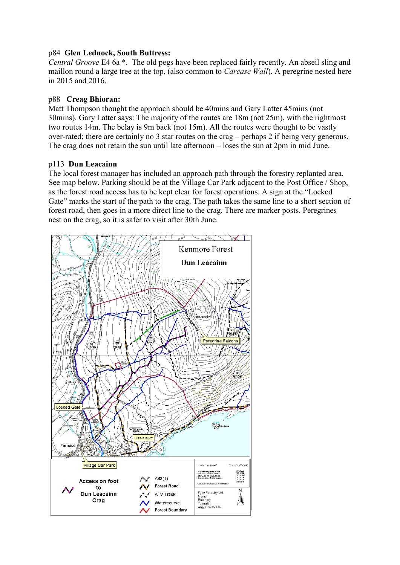# p84 **Glen Lednock, South Buttress:**

*Central Groove* E4 6a \*. The old pegs have been replaced fairly recently. An abseil sling and maillon round a large tree at the top, (also common to *Carcase Wall*). A peregrine nested here in 2015 and 2016.

# p88 **Creag Bhioran:**

Matt Thompson thought the approach should be 40mins and Gary Latter 45mins (not 30mins). Gary Latter says: The majority of the routes are 18m (not 25m), with the rightmost two routes 14m. The belay is 9m back (not 15m). All the routes were thought to be vastly over-rated; there are certainly no 3 star routes on the crag – perhaps 2 if being very generous. The crag does not retain the sun until late afternoon – loses the sun at 2pm in mid June.

# p113 **Dun Leacainn**

The local forest manager has included an approach path through the forestry replanted area. See map below. Parking should be at the Village Car Park adjacent to the Post Office / Shop, as the forest road access has to be kept clear for forest operations. A sign at the "Locked Gate" marks the start of the path to the crag. The path takes the same line to a short section of forest road, then goes in a more direct line to the crag. There are marker posts. Peregrines nest on the crag, so it is safer to visit after 30th June.

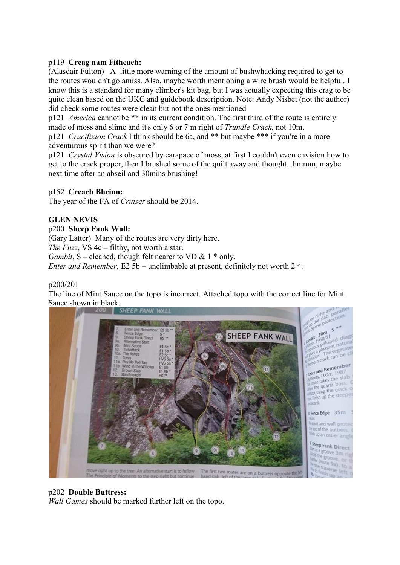# p119 **Creag nam Fitheach:**

(Alasdair Fulton) A little more warning of the amount of bushwhacking required to get to the routes wouldn't go amiss. Also, maybe worth mentioning a wire brush would be helpful. I know this is a standard for many climber's kit bag, but I was actually expecting this crag to be quite clean based on the UKC and guidebook description. Note: Andy Nisbet (not the author) did check some routes were clean but not the ones mentioned

p121 *America* cannot be \*\* in its current condition. The first third of the route is entirely made of moss and slime and it's only 6 or 7 m right of *Trundle Crack*, not 10m.

p121 *Crucifixion Crack* I think should be 6a, and \*\* but maybe \*\*\* if you're in a more adventurous spirit than we were?

p121 *Crystal Vision* is obscured by carapace of moss, at first I couldn't even envision how to get to the crack proper, then I brushed some of the quilt away and thought...hmmm, maybe next time after an abseil and 30mins brushing!

# p152 **Creach Bheinn:**

The year of the FA of *Cruiser* should be 2014.

# **GLEN NEVIS**

#### p200 **Sheep Fank Wall:**

(Gary Latter) Many of the routes are very dirty here. *The Fuzz*, VS 4c – filthy, not worth a star. *Gambit*, S – cleaned, though felt nearer to VD  $\&$  1  $*$  only. *Enter and Remember*, E2 5b – unclimbable at present, definitely not worth 2 \*.

#### p200/201

The line of Mint Sauce on the topo is incorrect. Attached topo with the correct line for Mint Sauce shown in black.



# p202 **Double Buttress:**

*Wall Games* should be marked further left on the topo.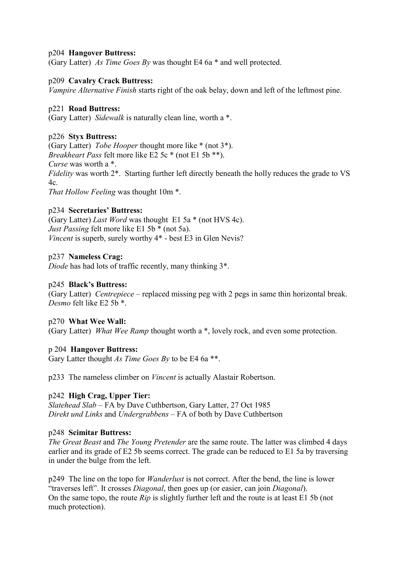#### p204 **Hangover Buttress:**

(Gary Latter) *As Time Goes By* was thought E4 6a \* and well protected.

#### p209 **Cavalry Crack Buttress:**

*Vampire Alternative Finish* starts right of the oak belay, down and left of the leftmost pine.

#### p221 **Road Buttress:**

(Gary Latter) *Sidewalk* is naturally clean line, worth a \*.

#### p226 **Styx Buttress:**

(Gary Latter) *Tobe Hooper* thought more like \* (not 3\*). *Breakheart Pass* felt more like E2 5c \* (not E1 5b \*\*). *Curse* was worth a \*. *Fidelity* was worth 2\*. Starting further left directly beneath the holly reduces the grade to VS  $4c$ *That Hollow Feeling* was thought 10m \*.

#### p234 **Secretaries' Buttress:**

(Gary Latter) *Last Word* was thought E1 5a \* (not HVS 4c). *Just Passing* felt more like E1 5b \* (not 5a). *Vincent* is superb, surely worthy  $4^*$  - best E3 in Glen Nevis?

#### p237 **Nameless Crag:**

*Diode* has had lots of traffic recently, many thinking 3\*.

#### p245 **Black's Buttress:**

(Gary Latter) *Centrepiece* – replaced missing peg with 2 pegs in same thin horizontal break. *Desmo* felt like E2 5b \*.

#### p270 **What Wee Wall:**

(Gary Latter) *What Wee Ramp* thought worth a \*, lovely rock, and even some protection.

#### p 204 **Hangover Buttress:**

Gary Latter thought *As Time Goes By* to be E4 6a \*\*.

p233 The nameless climber on *Vincent* is actually Alastair Robertson.

# p242 **High Crag, Upper Tier:**

*Slatehead Slab* – FA by Dave Cuthbertson, Gary Latter, 27 Oct 1985 *Direkt und Links* and *Undergrabbens* – FA of both by Dave Cuthbertson

#### p248 **Scimitar Buttress:**

*The Great Beast* and *The Young Pretender* are the same route. The latter was climbed 4 days earlier and its grade of E2 5b seems correct. The grade can be reduced to E1 5a by traversing in under the bulge from the left.

p249 The line on the topo for *Wanderlust* is not correct. After the bend, the line is lower "traverses left". It crosses *Diagonal*, then goes up (or easier, can join *Diagonal*). On the same topo, the route *Rip* is slightly further left and the route is at least E1 5b (not much protection).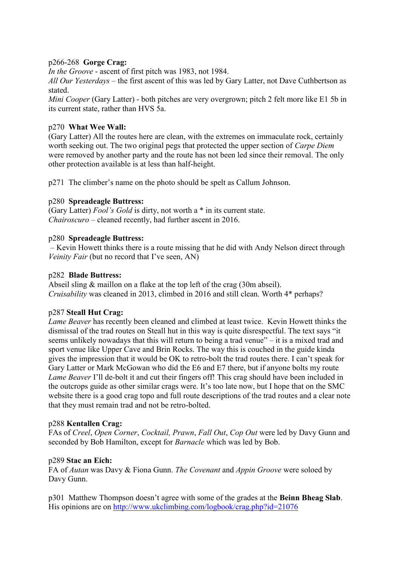# p266-268 **Gorge Crag:**

*In the Groove* - ascent of first pitch was 1983, not 1984.

*All Our Yesterdays* – the first ascent of this was led by Gary Latter, not Dave Cuthbertson as stated.

*Mini Cooper* (Gary Latter) - both pitches are very overgrown; pitch 2 felt more like E1 5b in its current state, rather than HVS 5a.

# p270 **What Wee Wall:**

(Gary Latter) All the routes here are clean, with the extremes on immaculate rock, certainly worth seeking out. The two original pegs that protected the upper section of *Carpe Diem* were removed by another party and the route has not been led since their removal. The only other protection available is at less than half-height.

p271 The climber's name on the photo should be spelt as Callum Johnson.

#### p280 **Spreadeagle Buttress:**

(Gary Latter) *Fool's Gold* is dirty, not worth a \* in its current state. *Chairoscuro* – cleaned recently, had further ascent in 2016.

#### p280 **Spreadeagle Buttress:**

– Kevin Howett thinks there is a route missing that he did with Andy Nelson direct through *Veinity Fair* (but no record that I've seen, AN)

#### p282 **Blade Buttress:**

Abseil sling & maillon on a flake at the top left of the crag (30m abseil). *Cruisability* was cleaned in 2013, climbed in 2016 and still clean. Worth 4\* perhaps?

#### p287 **Steall Hut Crag:**

*Lame Beaver* has recently been cleaned and climbed at least twice. Kevin Howett thinks the dismissal of the trad routes on Steall hut in this way is quite disrespectful. The text says "it seems unlikely nowadays that this will return to being a trad venue" – it is a mixed trad and sport venue like Upper Cave and Brin Rocks. The way this is couched in the guide kinda gives the impression that it would be OK to retro-bolt the trad routes there. I can't speak for Gary Latter or Mark McGowan who did the E6 and E7 there, but if anyone bolts my route *Lame Beaver* I'll de-bolt it and cut their fingers off! This crag should have been included in the outcrops guide as other similar crags were. It's too late now, but I hope that on the SMC website there is a good crag topo and full route descriptions of the trad routes and a clear note that they must remain trad and not be retro-bolted.

#### p288 **Kentallen Crag:**

FAs of *Creel*, *Open Corner*, *Cocktail, Prawn*, *Fall Out*, *Cop Out* were led by Davy Gunn and seconded by Bob Hamilton, except for *Barnacle* which was led by Bob.

#### p289 **Stac an Eich:**

FA of *Autan* was Davy & Fiona Gunn. *The Covenant* and *Appin Groove* were soloed by Davy Gunn.

p301 Matthew Thompson doesn't agree with some of the grades at the **Beinn Bheag Slab**. His opinions are on<http://www.ukclimbing.com/logbook/crag.php?id=21076>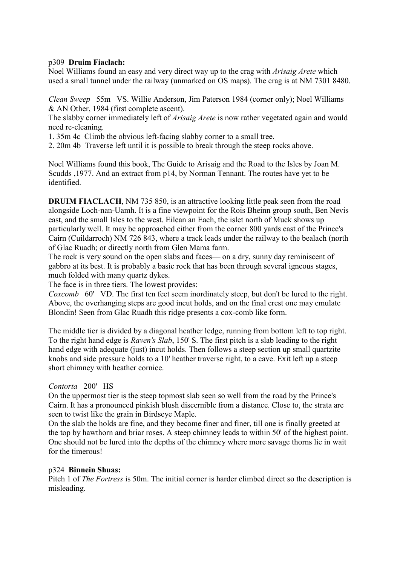#### p309 **Druim Fiaclach:**

Noel Williams found an easy and very direct way up to the crag with *Arisaig Arete* which used a small tunnel under the railway (unmarked on OS maps). The crag is at NM 7301 8480.

*Clean Sweep* 55m VS. Willie Anderson, Jim Paterson 1984 (corner only); Noel Williams & AN Other, 1984 (first complete ascent).

The slabby corner immediately left of *Arisaig Arete* is now rather vegetated again and would need re-cleaning.

1. 35m 4c Climb the obvious left-facing slabby corner to a small tree.

2. 20m 4b Traverse left until it is possible to break through the steep rocks above.

Noel Williams found this book, The Guide to Arisaig and the Road to the Isles by Joan M. Scudds ,1977. And an extract from p14, by Norman Tennant. The routes have yet to be identified.

**DRUIM FIACLACH**, NM 735 850, is an attractive looking little peak seen from the road alongside Loch-nan-Uamh. It is a fine viewpoint for the Rois Bheinn group south, Ben Nevis east, and the small Isles to the west. Eilean an Each, the islet north of Muck shows up particularly well. It may be approached either from the corner 800 yards east of the Prince's Cairn (Cuildarroch) NM 726 843, where a track leads under the railway to the bealach (north of Glac Ruadh; or directly north from Glen Mama farm.

The rock is very sound on the open slabs and faces— on a dry, sunny day reminiscent of gabbro at its best. It is probably a basic rock that has been through several igneous stages, much folded with many quartz dykes.

The face is in three tiers. The lowest provides:

*Coxcomb* 60' VD. The first ten feet seem inordinately steep, but don't be lured to the right. Above, the overhanging steps are good incut holds, and on the final crest one may emulate Blondin! Seen from Glac Ruadh this ridge presents a cox-comb like form.

The middle tier is divided by a diagonal heather ledge, running from bottom left to top right. To the right hand edge is *Raven's Slab*, 150' S. The first pitch is a slab leading to the right hand edge with adequate (just) incut holds. Then follows a steep section up small quartzite knobs and side pressure holds to a 10' heather traverse right, to a cave. Exit left up a steep short chimney with heather cornice.

# *Contorta* 200' HS

On the uppermost tier is the steep topmost slab seen so well from the road by the Prince's Cairn. It has a pronounced pinkish blush discernible from a distance. Close to, the strata are seen to twist like the grain in Birdseye Maple.

On the slab the holds are fine, and they become finer and finer, till one is finally greeted at the top by hawthorn and briar roses. A steep chimney leads to within 50' of the highest point. One should not be lured into the depths of the chimney where more savage thorns lie in wait for the timerous!

#### p324 **Binnein Shuas:**

Pitch 1 of *The Fortress* is 50m. The initial corner is harder climbed direct so the description is misleading.